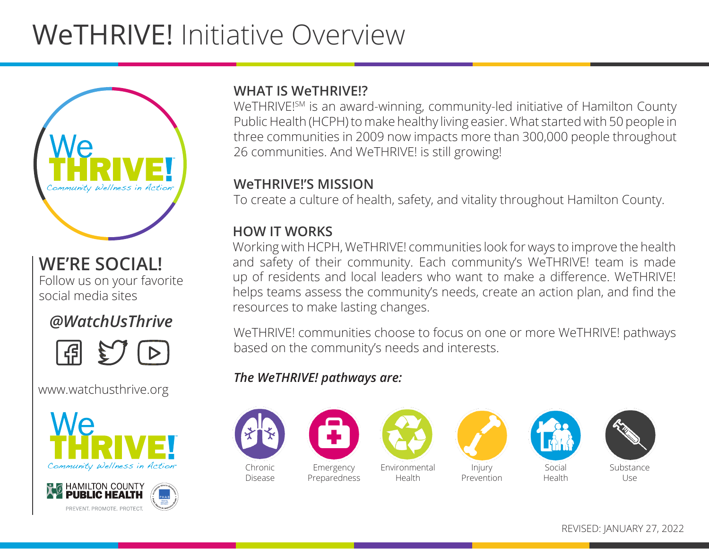# WeTHRIVE! Initiative Overview



# **WE'RE SOCIAL!**

Follow us on your favorite social media sites

# *@WatchUsThrive*



#### www.watchusthrive.org





#### **WHAT IS WeTHRIVE!?**

WeTHRIVE!<sup>SM</sup> is an award-winning, community-led initiative of Hamilton County Public Health (HCPH) to make healthy living easier. What started with 50 people in three communities in 2009 now impacts more than 300,000 people throughout 26 communities. And WeTHRIVE! is still growing!

#### **WeTHRIVE!'S MISSION**

To create a culture of health, safety, and vitality throughout Hamilton County.

#### **HOW IT WORKS**

Working with HCPH, WeTHRIVE! communities look for ways to improve the health and safety of their community. Each community's WeTHRIVE! team is made up of residents and local leaders who want to make a difference. WeTHRIVE! helps teams assess the community's needs, create an action plan, and find the resources to make lasting changes.

WeTHRIVE! communities choose to focus on one or more WeTHRIVE! pathways based on the community's needs and interests.

#### *The WeTHRIVE! pathways are:*





Health